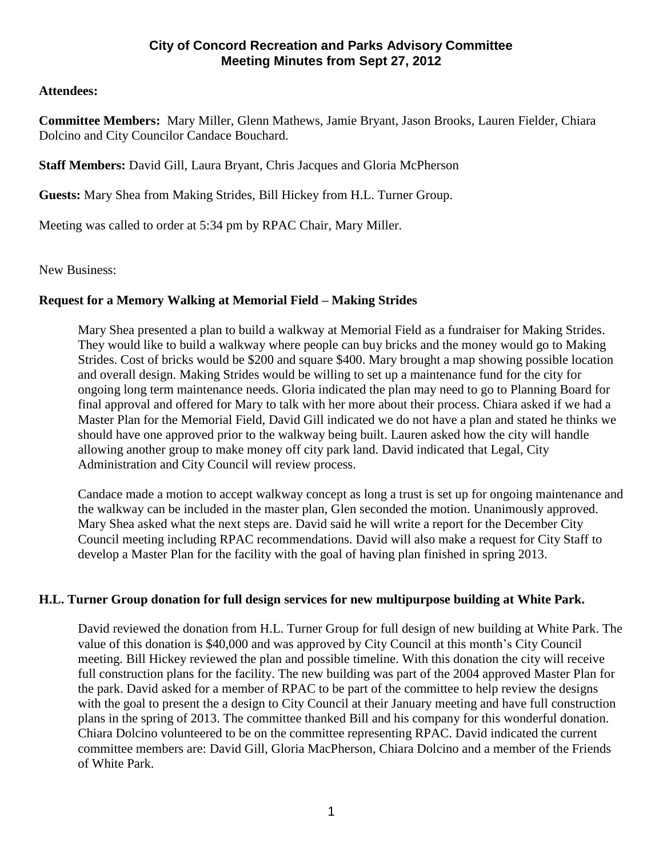# **Attendees:**

**Committee Members:** Mary Miller, Glenn Mathews, Jamie Bryant, Jason Brooks, Lauren Fielder, Chiara Dolcino and City Councilor Candace Bouchard.

**Staff Members:** David Gill, Laura Bryant, Chris Jacques and Gloria McPherson

**Guests:** Mary Shea from Making Strides, Bill Hickey from H.L. Turner Group.

Meeting was called to order at 5:34 pm by RPAC Chair, Mary Miller.

New Business:

# **Request for a Memory Walking at Memorial Field – Making Strides**

Mary Shea presented a plan to build a walkway at Memorial Field as a fundraiser for Making Strides. They would like to build a walkway where people can buy bricks and the money would go to Making Strides. Cost of bricks would be \$200 and square \$400. Mary brought a map showing possible location and overall design. Making Strides would be willing to set up a maintenance fund for the city for ongoing long term maintenance needs. Gloria indicated the plan may need to go to Planning Board for final approval and offered for Mary to talk with her more about their process. Chiara asked if we had a Master Plan for the Memorial Field, David Gill indicated we do not have a plan and stated he thinks we should have one approved prior to the walkway being built. Lauren asked how the city will handle allowing another group to make money off city park land. David indicated that Legal, City Administration and City Council will review process.

Candace made a motion to accept walkway concept as long a trust is set up for ongoing maintenance and the walkway can be included in the master plan, Glen seconded the motion. Unanimously approved. Mary Shea asked what the next steps are. David said he will write a report for the December City Council meeting including RPAC recommendations. David will also make a request for City Staff to develop a Master Plan for the facility with the goal of having plan finished in spring 2013.

## **H.L. Turner Group donation for full design services for new multipurpose building at White Park.**

David reviewed the donation from H.L. Turner Group for full design of new building at White Park. The value of this donation is \$40,000 and was approved by City Council at this month's City Council meeting. Bill Hickey reviewed the plan and possible timeline. With this donation the city will receive full construction plans for the facility. The new building was part of the 2004 approved Master Plan for the park. David asked for a member of RPAC to be part of the committee to help review the designs with the goal to present the a design to City Council at their January meeting and have full construction plans in the spring of 2013. The committee thanked Bill and his company for this wonderful donation. Chiara Dolcino volunteered to be on the committee representing RPAC. David indicated the current committee members are: David Gill, Gloria MacPherson, Chiara Dolcino and a member of the Friends of White Park.